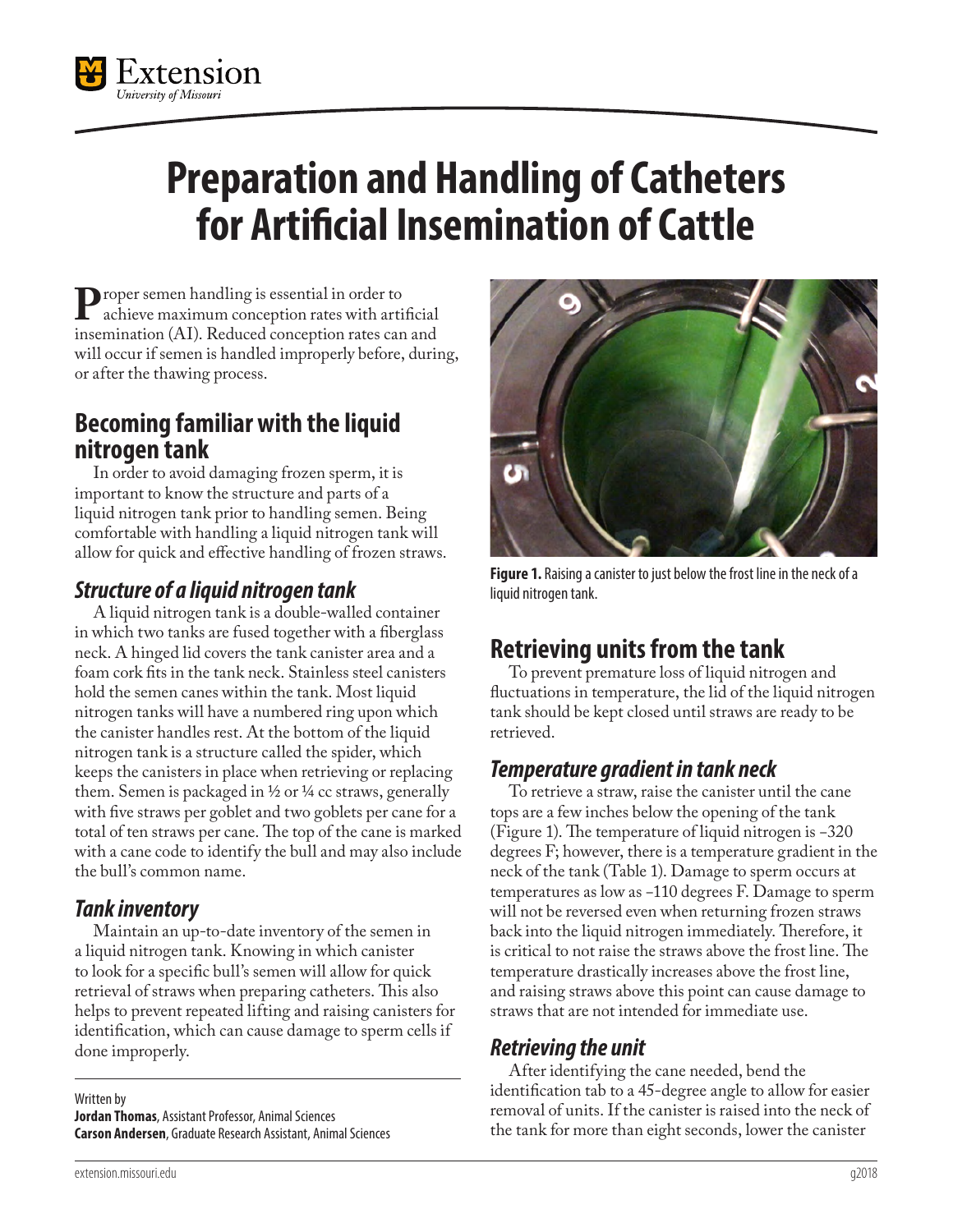

# **Preparation and Handling of Catheters for Artificial Insemination of Cattle**

**P**roper semen handling is essential in order to<br>
insemination (AI) Reduced conception rates can and insemination (AI). Reduced conception rates can and will occur if semen is handled improperly before, during, or after the thawing process.

## **Becoming familiar with the liquid nitrogen tank**

In order to avoid damaging frozen sperm, it is important to know the structure and parts of a liquid nitrogen tank prior to handling semen. Being comfortable with handling a liquid nitrogen tank will allow for quick and effective handling of frozen straws.

#### *Structure of a liquid nitrogen tank*

A liquid nitrogen tank is a double-walled container in which two tanks are fused together with a fiberglass neck. A hinged lid covers the tank canister area and a foam cork fits in the tank neck. Stainless steel canisters hold the semen canes within the tank. Most liquid nitrogen tanks will have a numbered ring upon which the canister handles rest. At the bottom of the liquid nitrogen tank is a structure called the spider, which keeps the canisters in place when retrieving or replacing them. Semen is packaged in  $\frac{1}{2}$  or  $\frac{1}{4}$  cc straws, generally with five straws per goblet and two goblets per cane for a total of ten straws per cane. The top of the cane is marked with a cane code to identify the bull and may also include the bull's common name.

#### *Tank inventory*

Maintain an up-to-date inventory of the semen in a liquid nitrogen tank. Knowing in which canister to look for a specific bull's semen will allow for quick retrieval of straws when preparing catheters. This also helps to prevent repeated lifting and raising canisters for identification, which can cause damage to sperm cells if done improperly.

Written by **Jordan Thomas**, Assistant Professor, Animal Sciences **Carson Andersen**, Graduate Research Assistant, Animal Sciences



**Figure 1.** Raising a canister to just below the frost line in the neck of a liquid nitrogen tank.

# **Retrieving units from the tank**

To prevent premature loss of liquid nitrogen and fluctuations in temperature, the lid of the liquid nitrogen tank should be kept closed until straws are ready to be retrieved.

#### *Temperature gradient in tank neck*

To retrieve a straw, raise the canister until the cane tops are a few inches below the opening of the tank (Figure 1). The temperature of liquid nitrogen is −320 degrees F; however, there is a temperature gradient in the neck of the tank (Table 1). Damage to sperm occurs at temperatures as low as −110 degrees F. Damage to sperm will not be reversed even when returning frozen straws back into the liquid nitrogen immediately. Therefore, it is critical to not raise the straws above the frost line. The temperature drastically increases above the frost line, and raising straws above this point can cause damage to straws that are not intended for immediate use.

#### *Retrieving the unit*

After identifying the cane needed, bend the identification tab to a 45-degree angle to allow for easier removal of units. If the canister is raised into the neck of the tank for more than eight seconds, lower the canister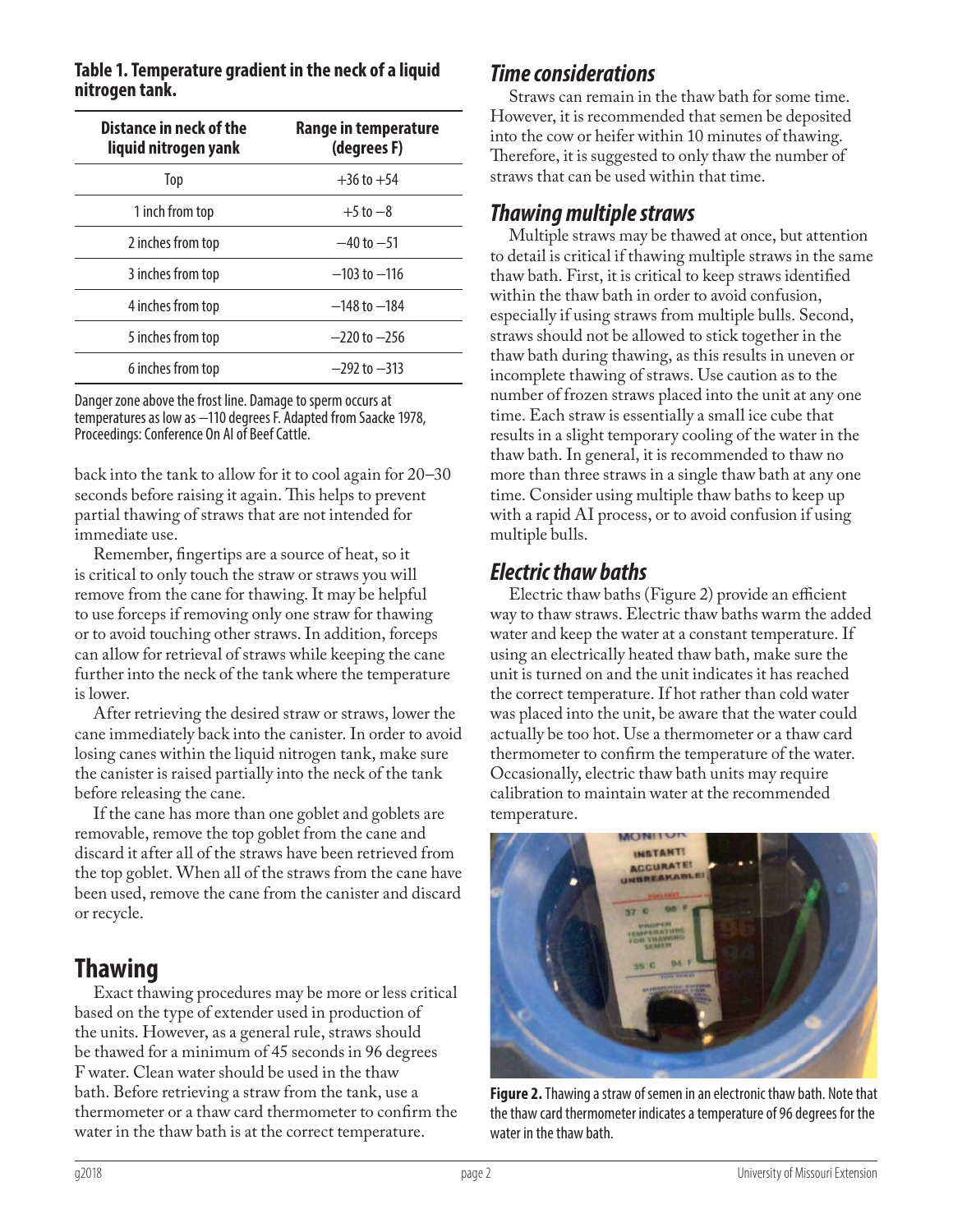| Distance in neck of the<br>liquid nitrogen yank | Range in temperature<br>(degrees F) |
|-------------------------------------------------|-------------------------------------|
| Top                                             | $+36$ to $+54$                      |
| 1 inch from top                                 | $+5$ to $-8$                        |
| 2 inches from top                               | $-40$ to $-51$                      |
| 3 inches from top                               | $-103$ to $-116$                    |
| 4 inches from top                               | $-148$ to $-184$                    |
| 5 inches from top                               | $-220$ to $-256$                    |
| 6 inches from top                               | $-292$ to $-313$                    |

#### **Table 1. Temperature gradient in the neck of a liquid nitrogen tank.**

Danger zone above the frost line. Damage to sperm occurs at temperatures as low as −110 degrees F. Adapted from Saacke 1978, Proceedings: Conference On AI of Beef Cattle.

back into the tank to allow for it to cool again for 20–30 seconds before raising it again. This helps to prevent partial thawing of straws that are not intended for immediate use.

Remember, fingertips are a source of heat, so it is critical to only touch the straw or straws you will remove from the cane for thawing. It may be helpful to use forceps if removing only one straw for thawing or to avoid touching other straws. In addition, forceps can allow for retrieval of straws while keeping the cane further into the neck of the tank where the temperature is lower.

After retrieving the desired straw or straws, lower the cane immediately back into the canister. In order to avoid losing canes within the liquid nitrogen tank, make sure the canister is raised partially into the neck of the tank before releasing the cane.

If the cane has more than one goblet and goblets are removable, remove the top goblet from the cane and discard it after all of the straws have been retrieved from the top goblet. When all of the straws from the cane have been used, remove the cane from the canister and discard or recycle.

## **Thawing**

Exact thawing procedures may be more or less critical based on the type of extender used in production of the units. However, as a general rule, straws should be thawed for a minimum of 45 seconds in 96 degrees F water. Clean water should be used in the thaw bath. Before retrieving a straw from the tank, use a thermometer or a thaw card thermometer to confirm the water in the thaw bath is at the correct temperature.

#### *Time considerations*

Straws can remain in the thaw bath for some time. However, it is recommended that semen be deposited into the cow or heifer within 10 minutes of thawing. Therefore, it is suggested to only thaw the number of straws that can be used within that time.

#### *Thawing multiple straws*

Multiple straws may be thawed at once, but attention to detail is critical if thawing multiple straws in the same thaw bath. First, it is critical to keep straws identified within the thaw bath in order to avoid confusion, especially if using straws from multiple bulls. Second, straws should not be allowed to stick together in the thaw bath during thawing, as this results in uneven or incomplete thawing of straws. Use caution as to the number of frozen straws placed into the unit at any one time. Each straw is essentially a small ice cube that results in a slight temporary cooling of the water in the thaw bath. In general, it is recommended to thaw no more than three straws in a single thaw bath at any one time. Consider using multiple thaw baths to keep up with a rapid AI process, or to avoid confusion if using multiple bulls.

#### *Electric thaw baths*

Electric thaw baths (Figure 2) provide an efficient way to thaw straws. Electric thaw baths warm the added water and keep the water at a constant temperature. If using an electrically heated thaw bath, make sure the unit is turned on and the unit indicates it has reached the correct temperature. If hot rather than cold water was placed into the unit, be aware that the water could actually be too hot. Use a thermometer or a thaw card thermometer to confirm the temperature of the water. Occasionally, electric thaw bath units may require calibration to maintain water at the recommended temperature.



**Figure 2.** Thawing a straw of semen in an electronic thaw bath. Note that the thaw card thermometer indicates a temperature of 96 degrees for the water in the thaw bath.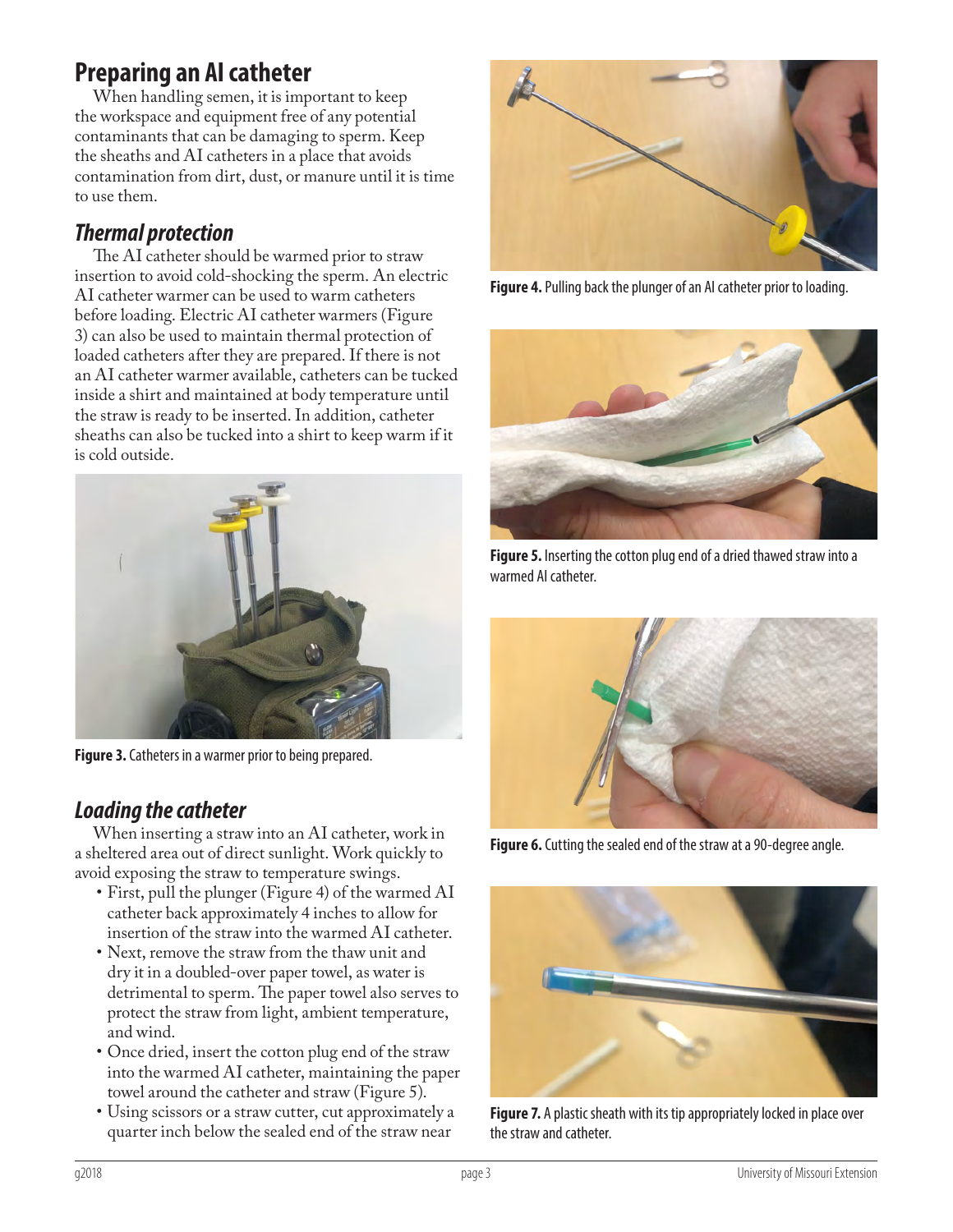# **Preparing an AI catheter**

When handling semen, it is important to keep the workspace and equipment free of any potential contaminants that can be damaging to sperm. Keep the sheaths and AI catheters in a place that avoids contamination from dirt, dust, or manure until it is time to use them.

#### *Thermal protection*

The AI catheter should be warmed prior to straw insertion to avoid cold-shocking the sperm. An electric AI catheter warmer can be used to warm catheters before loading. Electric AI catheter warmers (Figure 3) can also be used to maintain thermal protection of loaded catheters after they are prepared. If there is not an AI catheter warmer available, catheters can be tucked inside a shirt and maintained at body temperature until the straw is ready to be inserted. In addition, catheter sheaths can also be tucked into a shirt to keep warm if it is cold outside.



**Figure 3.** Catheters in a warmer prior to being prepared.

## *Loading the catheter*

When inserting a straw into an AI catheter, work in a sheltered area out of direct sunlight. Work quickly to avoid exposing the straw to temperature swings.

- First, pull the plunger (Figure 4) of the warmed AI catheter back approximately 4 inches to allow for insertion of the straw into the warmed AI catheter.
- Next, remove the straw from the thaw unit and dry it in a doubled-over paper towel, as water is detrimental to sperm. The paper towel also serves to protect the straw from light, ambient temperature, and wind.
- Once dried, insert the cotton plug end of the straw into the warmed AI catheter, maintaining the paper towel around the catheter and straw (Figure 5).
- Using scissors or a straw cutter, cut approximately a quarter inch below the sealed end of the straw near



**Figure 4.** Pulling back the plunger of an AI catheter prior to loading.



**Figure 5.** Inserting the cotton plug end of a dried thawed straw into a warmed AI catheter.



**Figure 6.** Cutting the sealed end of the straw at a 90-degree angle.



**Figure 7.** A plastic sheath with its tip appropriately locked in place over the straw and catheter.